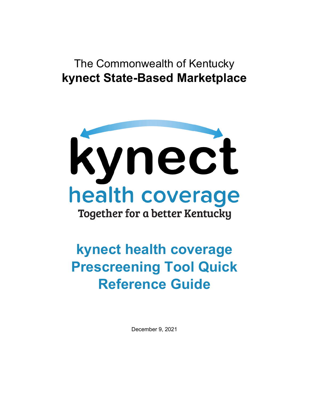# The Commonwealth of Kentucky **kynect State-Based Marketplace**



# **kynect health coverage Prescreening Tool Quick Reference Guide**

December 9, 2021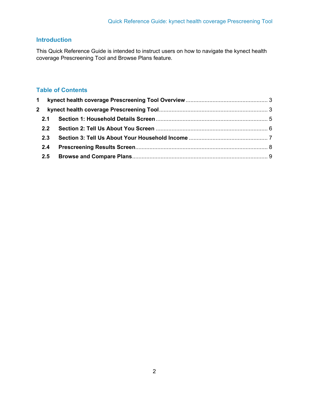## **Introduction**

This Quick Reference Guide is intended to instruct users on how to navigate the kynect health coverage Prescreening Tool and Browse Plans feature.

### **Table of Contents**

| $\overline{2}$ |               |  |
|----------------|---------------|--|
|                | 2.1           |  |
|                | $2.2^{\circ}$ |  |
|                | 2.3           |  |
|                | 2.4           |  |
|                |               |  |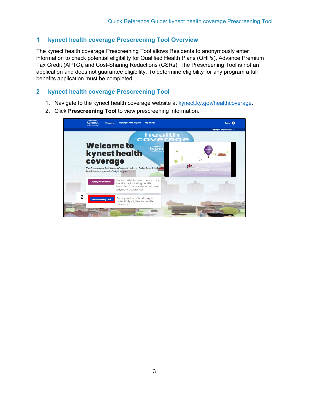#### <span id="page-2-0"></span>**1 kynect health coverage Prescreening Tool Overview**

The kynect health coverage Prescreening Tool allows Residents to anonymously enter information to check potential eligibility for Qualified Health Plans (QHPs), Advance Premium Tax Credit (APTC), and Cost-Sharing Reductions (CSRs). The Prescreening Tool is not an application and does not guarantee eligibility. To determine eligibility for any program a full benefits application must be completed.

#### <span id="page-2-1"></span>**2 kynect health coverage Prescreening Tool**

- 1. Navigate to the kynect health coverage website at [kynect.ky.gov/healthcoverage.](https://kynect.ky.gov/healthcoverage)
- 2. Click **Prescreening Tool** to view prescreening information.

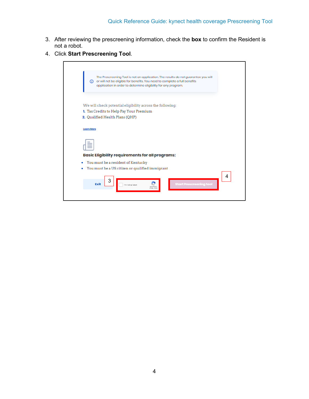h

- 3. After reviewing the prescreening information, check the **box** to confirm the Resident is not a robot.
- 4. Click **Start Prescreening Tool**.

| ന                 | The Prescreening Tool is not an application. The results do not guarantee you will<br>or will not be eligible for benefits. You need to complete a full benefits<br>application in order to determine eligibility for any program. |   |
|-------------------|------------------------------------------------------------------------------------------------------------------------------------------------------------------------------------------------------------------------------------|---|
|                   | We will check potential eligibility across the following:                                                                                                                                                                          |   |
|                   | 1. Tax Credits to Help Pay Your Premium                                                                                                                                                                                            |   |
|                   | 2. Qualified Health Plans (QHP)                                                                                                                                                                                                    |   |
| <b>Learn More</b> |                                                                                                                                                                                                                                    |   |
|                   | <b>Basic Eligibility requirements for all programs:</b>                                                                                                                                                                            |   |
| ۰                 | You must be a resident of Kentucky                                                                                                                                                                                                 |   |
| ۰                 | You must be a US citizen or qualified immigrant                                                                                                                                                                                    |   |
|                   | 3<br>Exit<br><b>Start Prescreening tool</b><br>I'm not a robot                                                                                                                                                                     | 4 |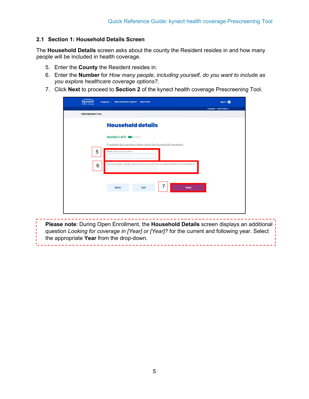#### <span id="page-4-0"></span>**2.1 Section 1: Household Details Screen**

The **Household Details** screen asks about the county the Resident resides in and how many people will be included in health coverage.

- 5. Enter the **County** the Resident resides in.
- 6. Enter the **Number** for *How many people, including yourself, do you want to include as you explore healthcare coverage options?.*
- 7. Click **Next** to proceed to **Section 2** of the kynect health coverage Prescreening Tool.

| PRESCREENING TOOL |                                                                                                         |                 |   |             |  |
|-------------------|---------------------------------------------------------------------------------------------------------|-----------------|---|-------------|--|
|                   | <b>Household details</b>                                                                                |                 |   |             |  |
|                   | Section 1 of 3                                                                                          | <b>TERRITAS</b> |   |             |  |
|                   | Complete the questions below about the household's members.                                             |                 |   |             |  |
| 5                 | which county do you rosido in?                                                                          |                 |   |             |  |
| $6\phantom{1}6$   | How many people, including yourself, do you want to include as you explore hoofthoore caverage options? |                 |   |             |  |
|                   |                                                                                                         |                 |   |             |  |
|                   | Back                                                                                                    | Exit            | 7 | <b>Next</b> |  |
|                   |                                                                                                         |                 |   |             |  |
|                   |                                                                                                         |                 |   |             |  |

**Please note**: During Open Enrollment, the **Household Details** screen displays an additional question *Looking for coverage in [Year] or [Year]?* for the current and following year. Select the appropriate **Year** from the drop-down.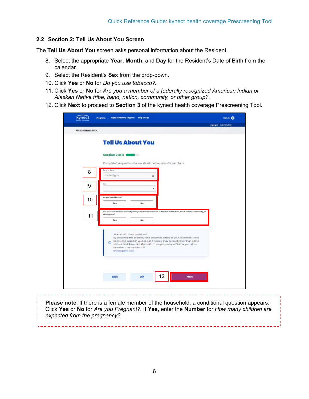#### <span id="page-5-0"></span>**2.2 Section 2: Tell Us About You Screen**

The **Tell Us About You** screen asks personal information about the Resident.

- 8. Select the appropriate **Year**, **Month**, and **Day** for the Resident's Date of Birth from the calendar.
- 9. Select the Resident's **Sex** from the drop-down.
- 10. Click **Yes** or **No** for *Do you use tobacco?.*
- 11. Click **Yes** or **No** for *Are you a member of a federally recognized American Indian or Alaskan Native tribe, band, nation, community, or other group?.*
- 12. Click **Next** to proceed to **Section 3** of the kynect health coverage Prescreening Tool.

|                   |                                                             |                                                                                                                                                                                                                                                                            | targanges: triglic(higher) -- |
|-------------------|-------------------------------------------------------------|----------------------------------------------------------------------------------------------------------------------------------------------------------------------------------------------------------------------------------------------------------------------------|-------------------------------|
| PRESCREENING TOOL |                                                             |                                                                                                                                                                                                                                                                            |                               |
|                   | <b>Tell Us About You</b>                                    |                                                                                                                                                                                                                                                                            |                               |
|                   | Section 2 of 3                                              |                                                                                                                                                                                                                                                                            |                               |
|                   |                                                             | Complete the questions below about the household's members.                                                                                                                                                                                                                |                               |
| 8                 | Dole of Dirth<br>mm/eelyysy                                 | ü.                                                                                                                                                                                                                                                                         |                               |
|                   |                                                             |                                                                                                                                                                                                                                                                            |                               |
| 9                 | 300                                                         |                                                                                                                                                                                                                                                                            |                               |
|                   | Do you use tobosco?                                         |                                                                                                                                                                                                                                                                            |                               |
| 10                | <b>Yes</b>                                                  | No                                                                                                                                                                                                                                                                         |                               |
|                   | other group?                                                | Ara you a member of a federally receptited American Indian or Alaxies Native tribe, band, nation, community, or                                                                                                                                                            |                               |
| 11                | Yes                                                         | No                                                                                                                                                                                                                                                                         |                               |
|                   |                                                             |                                                                                                                                                                                                                                                                            |                               |
|                   | $\circ$<br>bosed on a person who's 35.<br>Browse plans now. | Wont to skip these questions?<br>By answering this question, you'll see prices based on your hausehold. These<br>prices, also based on your age and income, may be much lower than prices<br>without this information. If you skip to see plans now, we'll show you prices |                               |
|                   |                                                             |                                                                                                                                                                                                                                                                            |                               |
|                   |                                                             |                                                                                                                                                                                                                                                                            |                               |
|                   | Back                                                        | 12<br>Exit                                                                                                                                                                                                                                                                 | <b>Noxt</b>                   |
|                   |                                                             |                                                                                                                                                                                                                                                                            |                               |

**Please note**: If there is a female member of the household, a conditional question appears. Click **Yes** or **No** for *Are you Pregnant?.* If **Yes**, enter the **Number** for *How many children are expected from the pregnancy?.*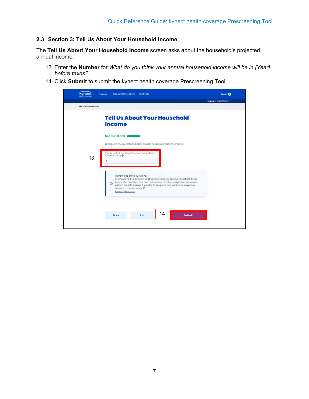#### <span id="page-6-0"></span>**2.3 Section 3: Tell Us About Your Household Income**

The **Tell Us About Your Household Income** screen asks about the household's projected annual income.

- 13. Enter the **Number** for *What do you think your annual household income will be in [Year] before taxes?.*
- 14. Click **Submit** to submit the kynect health coverage Prescreening Tool.

| <b>PRESCREENING TOOL</b> |                                                                                                                                                                                                                                                                                                                                               |  |
|--------------------------|-----------------------------------------------------------------------------------------------------------------------------------------------------------------------------------------------------------------------------------------------------------------------------------------------------------------------------------------------|--|
|                          | <b>Tell Us About Your Household</b><br><b>Income</b>                                                                                                                                                                                                                                                                                          |  |
|                          | Section 3 of 3<br>Complete the questions below about the household's members.                                                                                                                                                                                                                                                                 |  |
| 13                       | what co you think your criminal household income will be in-<br>2022 bolomment? @<br>ŝ                                                                                                                                                                                                                                                        |  |
|                          | Want to skip these questions?<br>By answering this question, you'll see prices based on your household. These<br>prices, also based on your age and income, may be much lower than prices.<br>$^{\circ}$<br>without this information. If you skip to see plans now, we'll show you prices<br>based on a person who's 35.<br>Browse plans new. |  |
|                          |                                                                                                                                                                                                                                                                                                                                               |  |
|                          | 14<br>Exit<br><b>Submit</b><br>Back                                                                                                                                                                                                                                                                                                           |  |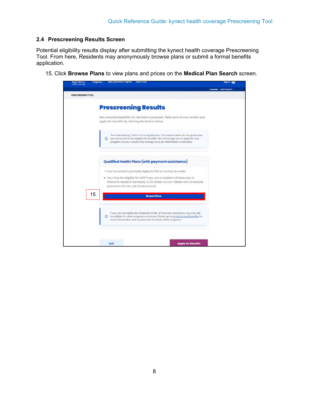#### <span id="page-7-0"></span>**2.4 Prescreening Results Screen**

Potential eligibility results display after submitting the kynect health coverage Prescreening Tool. From here, Residents may anonymously browse plans or submit a formal benefits application.

15. Click **Browse Plans** to view plans and prices on the **Medical Plan Search** screen.

| <b>Nyingut</b><br>mampawwage | saps, synectors, a agents<br><b>HEIPE FALM</b><br>Pregrams ~                                                                                                            | sign in 1999                  |
|------------------------------|-------------------------------------------------------------------------------------------------------------------------------------------------------------------------|-------------------------------|
|                              |                                                                                                                                                                         | Lenguages: English(English) ~ |
| PRESCREENING TOOL            |                                                                                                                                                                         |                               |
|                              |                                                                                                                                                                         |                               |
|                              | <b>Prescreening Results</b>                                                                                                                                             |                               |
|                              | See potential eligibility for the below programs. Take note of your results and                                                                                         |                               |
|                              | apply for benefits by clicking the button below.                                                                                                                        |                               |
|                              |                                                                                                                                                                         |                               |
|                              | The Prescreening Tool is not an application. The results below do not guarantee<br>(i) you will ar will not be eligible for benefits. We encourage you to apply for any |                               |
|                              | program, as your results may change once all information is collected.                                                                                                  |                               |
|                              |                                                                                                                                                                         |                               |
|                              |                                                                                                                                                                         |                               |
|                              | Qualified Health Plans (with payment assistance)                                                                                                                        |                               |
|                              | . Your household is potentially eligible for \$312 of monthly tax credits                                                                                               |                               |
|                              | . You may be eligible for QHP if you are a resident of Kentucky or                                                                                                      |                               |
|                              | intend to reside in Kentucky, a US citizen or non-citizen who is lawfully<br>present in the US, not incarcerated.                                                       |                               |
|                              |                                                                                                                                                                         |                               |
| 15                           | <b>Browse Plans</b>                                                                                                                                                     |                               |
|                              |                                                                                                                                                                         |                               |
|                              | If you are not eligible for Mediopici, KCHIP, or Poyment assistance, you may still                                                                                      |                               |
|                              | <b>a</b> be eligible for other programs on kynect. Please go to kynect.ky.gov/benefits for<br>more information and to prescrisen for these ather programs.              |                               |
|                              |                                                                                                                                                                         |                               |
|                              |                                                                                                                                                                         |                               |
|                              |                                                                                                                                                                         |                               |
|                              | Exit<br><b>Apply for Benefits</b>                                                                                                                                       |                               |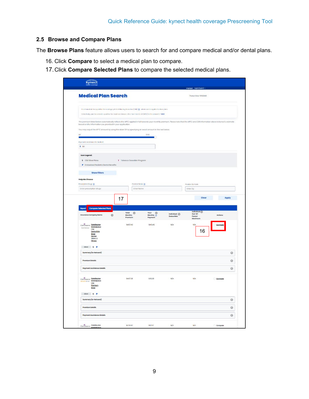#### <span id="page-8-0"></span>**2.5 Browse and Compare Plans**

The **Browse Plans** feature allows users to search for and compare medical and/or dental plans.

- 16. Click **Compare** to select a medical plan to compare.
- 17.Click **Compare Selected Plans** to compare the selected medical plans.

|                                                                                                                                                                                 |                                        |                                               |                                         | market (to<br>targe                                         |           |
|---------------------------------------------------------------------------------------------------------------------------------------------------------------------------------|----------------------------------------|-----------------------------------------------|-----------------------------------------|-------------------------------------------------------------|-----------|
| <b>Medical Plan Search</b>                                                                                                                                                      |                                        |                                               |                                         | (Today's Date: 1)(05/2021)                                  |           |
| Your household has qualified for a catagory is Cost-Shoring Hobustion (CSR) @ which con tro opplied to circurplans                                                              |                                        |                                               |                                         |                                                             |           |
| Collectively, your household is qualified for modificen Advance Premium Tax Credit (APTC) in the amount of \$312                                                                |                                        |                                               |                                         |                                                             |           |
| The premium listed below outomatically reflects the APTC opplied in full towards your monthly premium. Please note that the APTC and CSR information above is kyneal's estimate |                                        |                                               |                                         |                                                             |           |
| based on the information you provided in your application.<br>You may ocjust the APTC amount by using the stater OR by specifying an exact amount in the text below.            |                                        |                                               |                                         |                                                             |           |
| so                                                                                                                                                                              |                                        | \$312                                         |                                         |                                                             |           |
| Progressets Assistance for Modical:                                                                                                                                             |                                        | Ð                                             |                                         |                                                             |           |
| \$32                                                                                                                                                                            |                                        |                                               |                                         |                                                             |           |
| <b>Icon Legend:</b>                                                                                                                                                             |                                        |                                               |                                         |                                                             |           |
| S CSR Silver Picma                                                                                                                                                              | T Tobacco Cessation Program            |                                               |                                         |                                                             |           |
| P Embedded Peciatric Dental Benefits                                                                                                                                            |                                        |                                               |                                         |                                                             |           |
| <b>Show Filters</b>                                                                                                                                                             |                                        |                                               |                                         |                                                             |           |
| <b>Help Me Choose</b>                                                                                                                                                           |                                        |                                               |                                         |                                                             |           |
| Prescription Drugs (D)                                                                                                                                                          | Provider Norm (D)                      |                                               |                                         | Provider Zip Code                                           |           |
| Enter prescription drugs                                                                                                                                                        | Enter Name                             |                                               |                                         | Enter Zip                                                   |           |
| Inturance Company Name<br>$^{\circ}$                                                                                                                                            | Total<br>$\circ$<br>Monthly<br>Premium | Your <sup>(1)</sup><br>Monthly (1)<br>Payment | Individual <sup>(2)</sup><br>Deductible | individual <sub>(2)</sub><br>$Our-or-$<br>Pocket<br>Moximum | Actions   |
|                                                                                                                                                                                 | \$457.45                               | \$145.45                                      | NÍA                                     | Nía                                                         | Compan    |
|                                                                                                                                                                                 |                                        |                                               |                                         |                                                             |           |
| CareSource Constauros<br>Marketplace<br>Low<br>Deductible                                                                                                                       |                                        |                                               |                                         |                                                             |           |
| Silver<br>Dantol                                                                                                                                                                |                                        |                                               |                                         | 16                                                          |           |
| Vision, &<br>Fitness                                                                                                                                                            |                                        |                                               |                                         |                                                             |           |
| Siver \$ P                                                                                                                                                                      |                                        |                                               |                                         |                                                             |           |
| Summary (In-Network)                                                                                                                                                            |                                        |                                               |                                         |                                                             |           |
| Premium Details                                                                                                                                                                 |                                        |                                               |                                         |                                                             |           |
| Payment Assistance Details                                                                                                                                                      |                                        |                                               |                                         |                                                             |           |
|                                                                                                                                                                                 | \$407.38                               | \$05.88                                       | N/A                                     | Nía                                                         | Company   |
| CareSource Caratource<br>Marketplace<br>***<br>Low                                                                                                                              |                                        |                                               |                                         |                                                             |           |
| Premium<br>Siver                                                                                                                                                                |                                        |                                               |                                         |                                                             |           |
| siver S P                                                                                                                                                                       |                                        |                                               |                                         |                                                             |           |
| Summary (in-Network)                                                                                                                                                            |                                        |                                               |                                         |                                                             |           |
| <b>Promium Details</b>                                                                                                                                                          |                                        |                                               |                                         |                                                             |           |
| Payment Assistance Details                                                                                                                                                      |                                        |                                               |                                         |                                                             |           |
| CareSource Constauros                                                                                                                                                           | \$428.07                               | STZO7                                         | N/A                                     | N/A                                                         | C Compare |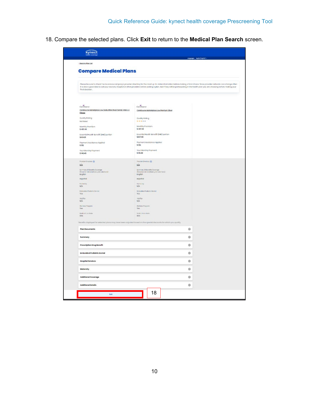18. Compare the selected plans. Click **Exit** to return to the **Medical Plan Search** screen.

|                                                                                                                    | sangwayer: triglist (togli                                                                                                                                                                                                                                                                                                                                                 |
|--------------------------------------------------------------------------------------------------------------------|----------------------------------------------------------------------------------------------------------------------------------------------------------------------------------------------------------------------------------------------------------------------------------------------------------------------------------------------------------------------------|
| (Back to Plan List)                                                                                                |                                                                                                                                                                                                                                                                                                                                                                            |
| <b>Compare Medical Plans</b>                                                                                       |                                                                                                                                                                                                                                                                                                                                                                            |
|                                                                                                                    |                                                                                                                                                                                                                                                                                                                                                                            |
|                                                                                                                    | Please be sure to check the insurance company's provider directory for the most up for date information before making a final choice. Since provider networks can change aften<br>it is also a good idea to oall your doctors, hospital or ather providers before picking a plan. Ask if they will be participating in the health plan you are choosing before making your |
| finel decision.                                                                                                    |                                                                                                                                                                                                                                                                                                                                                                            |
|                                                                                                                    |                                                                                                                                                                                                                                                                                                                                                                            |
| Care Source                                                                                                        | Cary Source                                                                                                                                                                                                                                                                                                                                                                |
| CareSource Marketplace Low Deductible Silver Dental, Vision, &                                                     | CareScurce Marketplace Low Premium Silver                                                                                                                                                                                                                                                                                                                                  |
| Fitness                                                                                                            |                                                                                                                                                                                                                                                                                                                                                                            |
| Quality Rating<br>Not Rated                                                                                        | Quality Rating<br>*****                                                                                                                                                                                                                                                                                                                                                    |
| Monthly Premium                                                                                                    | Monthly Premium.                                                                                                                                                                                                                                                                                                                                                           |
| \$457.45                                                                                                           | \$407.38                                                                                                                                                                                                                                                                                                                                                                   |
| Essential Health Benefit (EHB) pertion<br>\$434.81                                                                 | Essential Health Benefit (EHB) partion<br>\$407.38                                                                                                                                                                                                                                                                                                                         |
| Payment Assistance Applied                                                                                         | Payment Assistance Applied                                                                                                                                                                                                                                                                                                                                                 |
| \$32                                                                                                               | \$312                                                                                                                                                                                                                                                                                                                                                                      |
| Your Monthly Poyment<br>\$145.45                                                                                   | Your Monthly Poyment<br>\$95.38                                                                                                                                                                                                                                                                                                                                            |
| Provider Directory (D)                                                                                             | Provider Directory (D)                                                                                                                                                                                                                                                                                                                                                     |
| <b>N/A</b>                                                                                                         | NA                                                                                                                                                                                                                                                                                                                                                                         |
| Summary Of Derwifts Coverage<br>(Returnert de beneficies y de coloerano)<br>English                                | Summary Of Denefits Coverage<br>(Resumen de beneficies y de cobertura)<br>English                                                                                                                                                                                                                                                                                          |
| народая                                                                                                            | asportol.                                                                                                                                                                                                                                                                                                                                                                  |
| <b>Formulary</b>                                                                                                   | Formulary                                                                                                                                                                                                                                                                                                                                                                  |
| tils.                                                                                                              | NA                                                                                                                                                                                                                                                                                                                                                                         |
| <b>Embedded Pediatric Dental</b><br>Yes                                                                            | <b>Ambedded Professor Dental</b><br>Yes                                                                                                                                                                                                                                                                                                                                    |
| <b>IBATSA</b><br>N/L                                                                                               | <b>ISATSA</b><br>N/A                                                                                                                                                                                                                                                                                                                                                       |
| We ness hogem                                                                                                      | Malinosa Program                                                                                                                                                                                                                                                                                                                                                           |
| Yees                                                                                                               | Yess                                                                                                                                                                                                                                                                                                                                                                       |
| Moderations Ratio<br>80%                                                                                           | Weding Hass Ratio<br><b>BOX</b>                                                                                                                                                                                                                                                                                                                                            |
| Denefits displayed for selected plans may have been orijusted based on the special discounts for which you qualify |                                                                                                                                                                                                                                                                                                                                                                            |
| <b>Plan Documents</b>                                                                                              | $_{\tiny{\textregistered}}$                                                                                                                                                                                                                                                                                                                                                |
| Summary                                                                                                            | ⊕                                                                                                                                                                                                                                                                                                                                                                          |
| <b>Prescription Drug Benefit</b>                                                                                   | ⊕                                                                                                                                                                                                                                                                                                                                                                          |
| Embedded Pediatric Dental                                                                                          | $\odot$                                                                                                                                                                                                                                                                                                                                                                    |
| <b>Hospital Services</b>                                                                                           | $_{\scriptscriptstyle\odot}$                                                                                                                                                                                                                                                                                                                                               |
| Maternity                                                                                                          | $^{\circ}$                                                                                                                                                                                                                                                                                                                                                                 |
| Additional Coverage                                                                                                | $^{\circ}$                                                                                                                                                                                                                                                                                                                                                                 |
|                                                                                                                    | $^{\circ}$                                                                                                                                                                                                                                                                                                                                                                 |
| <b>Additional Details</b>                                                                                          |                                                                                                                                                                                                                                                                                                                                                                            |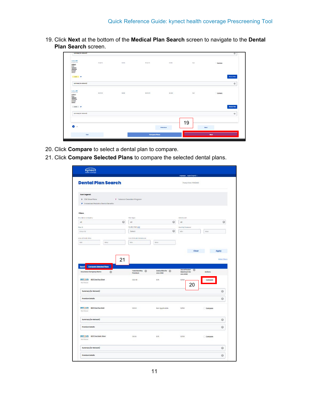19. Click **Next** at the bottom of the **Medical Plan Search** screen to navigate to the **Dental Plan Search** screen.

| $\bullet$                                                                                                                                                                                               |                 |               |                   | Previous         | 19          | Next         |            |
|---------------------------------------------------------------------------------------------------------------------------------------------------------------------------------------------------------|-----------------|---------------|-------------------|------------------|-------------|--------------|------------|
| Summery (in Network)                                                                                                                                                                                    |                 |               |                   |                  |             |              | $_{\odot}$ |
| Sher P                                                                                                                                                                                                  |                 |               |                   |                  |             | Choose Flory |            |
| *****<br>$\begin{array}{l} \frac{f(x) f(x) f(x)}{f(x) f(x)}\\ \frac{f(x) f(x)}{f(x) f(x)}\\ \frac{f(x) f(x) f(x)}{f(x) f(x)}\\ \frac{f(x) f(x)}{f(x) f(x)}\\ \frac{f(x) f(x)}{f(x) f(x)}\\ \end{array}$ | \$107870<br>--- | 50.00<br>9839 | \$1076.70<br>---- | 58 000<br>312334 | 'nia'<br>93 | Company      |            |
| summary (a-notwork)<br>Authent 01                                                                                                                                                                       |                 | 9225          | ついい               | <b>NEMSKI</b>    |             |              | $_{\odot}$ |
| <b>Select P</b>                                                                                                                                                                                         |                 |               |                   |                  |             | Checke Plan  |            |
| Anthenn<br>Bold<br>Callings<br>20,3550<br>20,3550<br>(BHCP)                                                                                                                                             |                 |               |                   |                  |             | C Company    |            |
| 1/1000000                                                                                                                                                                                               | \$124078        | 80.00         | \$1408.           | \$1000           | NA.         |              |            |

- 20. Click **Compare** to select a dental plan to compare.
- 21. Click **Compare Selected Plans** to compare the selected dental plans.

|                                                                                                                                                                                              |                                           |                         | sangaogeo: trigital (trigital) v              |                                |
|----------------------------------------------------------------------------------------------------------------------------------------------------------------------------------------------|-------------------------------------------|-------------------------|-----------------------------------------------|--------------------------------|
| <b>Dental Plan Search</b>                                                                                                                                                                    |                                           |                         | (Today's Date: 1) 00/2020                     |                                |
| Icon Legend:<br>\$ CSR Silver Planes                                                                                                                                                         | T Tobacco Cessation Program               |                         |                                               |                                |
| P Embedded Pediatric Dentol Benefits                                                                                                                                                         |                                           |                         |                                               |                                |
| <b>Filters</b>                                                                                                                                                                               |                                           |                         |                                               |                                |
| insurance company                                                                                                                                                                            | Flon Type                                 | Motolitovol             |                                               |                                |
| $_{\odot}$<br>Al                                                                                                                                                                             | $\mathbb{A}^{\dagger}$                    | $_{\odot}$<br>All       |                                               | $\odot$                        |
| Plan D                                                                                                                                                                                       | Quality Roting(D)                         |                         | Marthly Promium                               |                                |
| Enterio                                                                                                                                                                                      | Select                                    | $\odot$<br>Min          | Mox                                           |                                |
| Annual Boduction                                                                                                                                                                             | Dub-DF-Rocket Maximum                     |                         |                                               |                                |
| Min<br>Ktere                                                                                                                                                                                 | Min<br><b>Ment</b>                        |                         |                                               |                                |
|                                                                                                                                                                                              |                                           |                         |                                               |                                |
| 21                                                                                                                                                                                           |                                           |                         |                                               |                                |
| Compare Selected Plans<br>$\odot$                                                                                                                                                            | Total Monthly (c)<br>Premium<br>one child | Deductible for (c)      | Out of Pocket (e)<br>Maximum for<br>one child | <b>Hide Filters</b><br>Actions |
|                                                                                                                                                                                              | 522.48<br>\$75                            | \$350                   |                                               | Compore                        |
| Summary (in-Network)                                                                                                                                                                         |                                           |                         | 20                                            | ◎                              |
| <b>Promium Details</b>                                                                                                                                                                       |                                           |                         |                                               | $\odot$                        |
|                                                                                                                                                                                              | \$23.61                                   | Not Applicable<br>\$350 |                                               | Compare                        |
| Summary (in-Network)                                                                                                                                                                         |                                           |                         |                                               | $\odot$                        |
| <b>Promium Details</b>                                                                                                                                                                       |                                           |                         |                                               | $\odot$                        |
| BESTONN Basic Silver                                                                                                                                                                         | 51616<br>575                              | \$350                   |                                               | Compore                        |
| Export<br><b>Insurance Company Name</b><br>BESTOLIFe BESTONS Plus Silver<br>Not figted<br>BESTELIfe BESTONe Plus Gold<br>Not Rutad<br><b>BESTOLIfe</b><br>Not frotpd<br>Summary (in-Network) |                                           |                         |                                               | $\odot$                        |